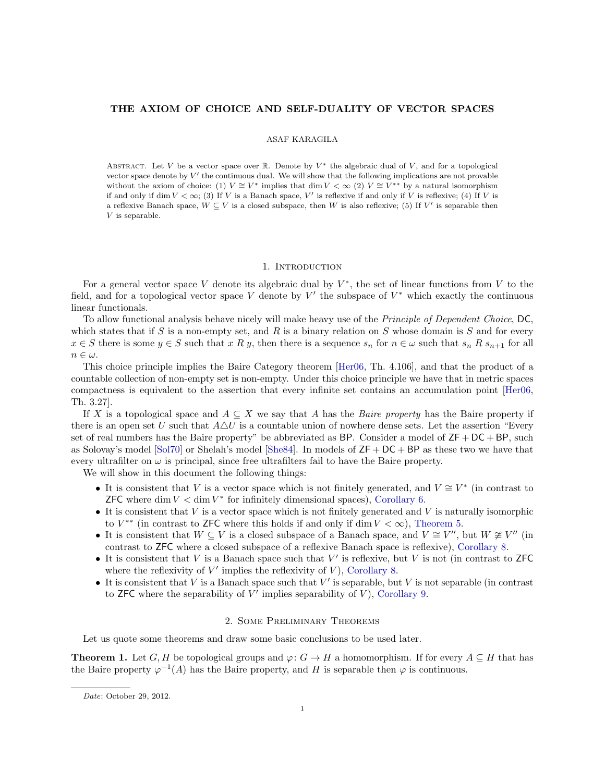# THE AXIOM OF CHOICE AND SELF-DUALITY OF VECTOR SPACES

### ASAF KARAGILA

ABSTRACT. Let V be a vector space over R. Denote by  $V^*$  the algebraic dual of V, and for a topological vector space denote by  $V'$  the continuous dual. We will show that the following implications are not provable without the axiom of choice: (1)  $V \cong V^*$  implies that dim  $V < \infty$  (2)  $V \cong V^{**}$  by a natural isomorphism if and only if dim  $V < \infty$ ; (3) If V is a Banach space, V' is reflexive if and only if V is reflexive; (4) If V is a reflexive Banach space,  $W \subseteq V$  is a closed subspace, then W is also reflexive; (5) If V' is separable then V is separable.

# 1. INTRODUCTION

For a general vector space V denote its algebraic dual by  $V^*$ , the set of linear functions from V to the field, and for a topological vector space V denote by  $V'$  the subspace of  $V^*$  which exactly the continuous linear functionals.

To allow functional analysis behave nicely will make heavy use of the Principle of Dependent Choice, DC, which states that if S is a non-empty set, and R is a binary relation on S whose domain is S and for every  $x \in S$  there is some  $y \in S$  such that  $x R y$ , then there is a sequence  $s_n$  for  $n \in \omega$  such that  $s_n R s_{n+1}$  for all  $n \in \omega$ .

This choice principle implies the Baire Category theorem [\[Her06,](#page-2-0) Th. 4.106], and that the product of a countable collection of non-empty set is non-empty. Under this choice principle we have that in metric spaces compactness is equivalent to the assertion that every infinite set contains an accumulation point [\[Her06,](#page-2-0) Th. 3.27].

If X is a topological space and  $A \subseteq X$  we say that A has the Baire property has the Baire property if there is an open set U such that  $A\Delta U$  is a countable union of nowhere dense sets. Let the assertion "Every set of real numbers has the Baire property" be abbreviated as BP. Consider a model of  $ZF + DC + BP$ , such as Solovay's model  $\lceil \text{Sol70} \rceil$  or Shelah's model  $\lceil \text{She84} \rceil$ . In models of  $\text{ZF} + \text{DC} + \text{BP}$  as these two we have that every ultrafilter on  $\omega$  is principal, since free ultrafilters fail to have the Baire property.

We will show in this document the following things:

- It is consistent that V is a vector space which is not finitely generated, and  $V \cong V^*$  (in contrast to **ZFC** where dim  $V < \dim V^*$  for infinitely dimensional spaces), [Corollary 6.](#page-2-3)
- It is consistent that  $V$  is a vector space which is not finitely generated and  $V$  is naturally isomorphic to  $V^{**}$  (in contrast to ZFC where this holds if and only if dim  $V < \infty$ ), [Theorem 5.](#page-1-0)
- It is consistent that  $W \subseteq V$  is a closed subspace of a Banach space, and  $V \cong V''$ , but  $W \not\cong V''$  (in contrast to ZFC where a closed subspace of a reflexive Banach space is reflexive), [Corollary 8.](#page-2-4)
- $\bullet$  It is consistent that V is a Banach space such that V' is reflexive, but V is not (in contrast to ZFC where the reflexivity of  $V'$  implies the reflexivity of  $V$ ), [Corollary 8.](#page-2-4)
- $\bullet$  It is consistent that V is a Banach space such that V' is separable, but V is not separable (in contrast to ZFC where the separability of  $V'$  implies separability of  $V$ ), [Corollary 9.](#page-2-5)

## 2. Some Preliminary Theorems

Let us quote some theorems and draw some basic conclusions to be used later.

<span id="page-0-0"></span>**Theorem 1.** Let G, H be topological groups and  $\varphi: G \to H$  a homomorphism. If for every  $A \subseteq H$  that has the Baire property  $\varphi^{-1}(A)$  has the Baire property, and H is separable then  $\varphi$  is continuous.

Date: October 29, 2012.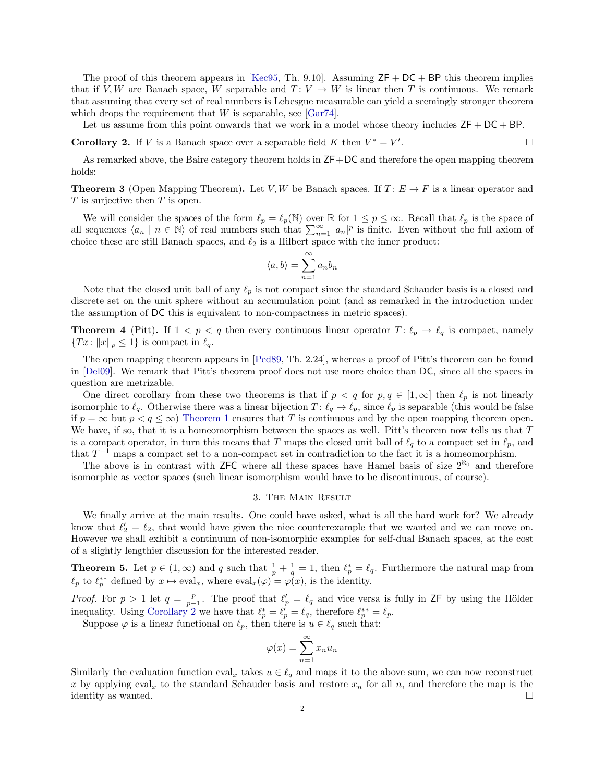The proof of this theorem appears in [\[Kec95,](#page-2-6) Th. 9.10]. Assuming  $ZF + DC + BP$  this theorem implies that if V, W are Banach space, W separable and  $T: V \to W$  is linear then T is continuous. We remark that assuming that every set of real numbers is Lebesgue measurable can yield a seemingly stronger theorem which drops the requirement that  $W$  is separable, see [\[Gar74\]](#page-2-7).

Let us assume from this point onwards that we work in a model whose theory includes  $ZF + DC + BP$ .

<span id="page-1-1"></span>**Corollary 2.** If V is a Banach space over a separable field K then  $V^* = V'$ .

As remarked above, the Baire category theorem holds in ZF+DC and therefore the open mapping theorem holds:

**Theorem 3** (Open Mapping Theorem). Let V, W be Banach spaces. If  $T: E \to F$  is a linear operator and  $T$  is surjective then  $T$  is open.

We will consider the spaces of the form  $\ell_p = \ell_p(\mathbb{N})$  over R for  $1 \le p \le \infty$ . Recall that  $\ell_p$  is the space of all sequences  $\langle a_n | n \in \mathbb{N} \rangle$  of real numbers such that  $\sum_{n=1}^{\infty} |a_n|^p$  is finite. Even without the full axiom of choice these are still Banach spaces, and  $\ell_2$  is a Hilbert space with the inner product:

$$
\langle a, b \rangle = \sum_{n=1}^{\infty} a_n b_n
$$

Note that the closed unit ball of any  $\ell_p$  is not compact since the standard Schauder basis is a closed and discrete set on the unit sphere without an accumulation point (and as remarked in the introduction under the assumption of DC this is equivalent to non-compactness in metric spaces).

**Theorem 4** (Pitt). If  $1 < p < q$  then every continuous linear operator  $T: \ell_p \to \ell_q$  is compact, namely  $\{Tx\colon \|x\|_p \leq 1\}$  is compact in  $\ell_q$ .

The open mapping theorem appears in [\[Ped89,](#page-2-8) Th. 2.24], whereas a proof of Pitt's theorem can be found in [\[Del09\]](#page-2-9). We remark that Pitt's theorem proof does not use more choice than DC, since all the spaces in question are metrizable.

One direct corollary from these two theorems is that if  $p < q$  for  $p, q \in [1, \infty]$  then  $\ell_p$  is not linearly isomorphic to  $\ell_q$ . Otherwise there was a linear bijection  $T : \ell_q \to \ell_p$ , since  $\ell_p$  is separable (this would be false if  $p = \infty$  but  $p < q \le \infty$ ) [Theorem 1](#page-0-0) ensures that T is continuous and by the open mapping theorem open. We have, if so, that it is a homeomorphism between the spaces as well. Pitt's theorem now tells us that  $T$ is a compact operator, in turn this means that T maps the closed unit ball of  $\ell_q$  to a compact set in  $\ell_p$ , and that  $T^{-1}$  maps a compact set to a non-compact set in contradiction to the fact it is a homeomorphism.

The above is in contrast with ZFC where all these spaces have Hamel basis of size  $2^{\aleph_0}$  and therefore isomorphic as vector spaces (such linear isomorphism would have to be discontinuous, of course).

### 3. The Main Result

We finally arrive at the main results. One could have asked, what is all the hard work for? We already know that  $\ell_2' = \ell_2$ , that would have given the nice counterexample that we wanted and we can move on. However we shall exhibit a continuum of non-isomorphic examples for self-dual Banach spaces, at the cost of a slightly lengthier discussion for the interested reader.

<span id="page-1-0"></span>**Theorem 5.** Let  $p \in (1,\infty)$  and q such that  $\frac{1}{p} + \frac{1}{q} = 1$ , then  $\ell_p^* = \ell_q$ . Furthermore the natural map from  $\ell_p$  to  $\ell_p^{**}$  defined by  $x \mapsto \text{eval}_x$ , where  $\text{eval}_x(\varphi) = \varphi(x)$ , is the identity.

*Proof.* For  $p > 1$  let  $q = \frac{p}{p-1}$ . The proof that  $\ell_p' = \ell_q$  and vice versa is fully in ZF by using the Hölder inequality. Using [Corollary 2](#page-1-1) we have that  $\ell_p^* = \ell_p' = \ell_q$ , therefore  $\ell_p^{**} = \ell_p$ .

Suppose  $\varphi$  is a linear functional on  $\ell_p$ , then there is  $u \in \ell_q$  such that:

$$
\varphi(x) = \sum_{n=1}^{\infty} x_n u_n
$$

Similarly the evaluation function  $eval_x$  takes  $u \in \ell_q$  and maps it to the above sum, we can now reconstruct x by applying eval<sub>x</sub> to the standard Schauder basis and restore  $x_n$  for all n, and therefore the map is the identity as wanted.